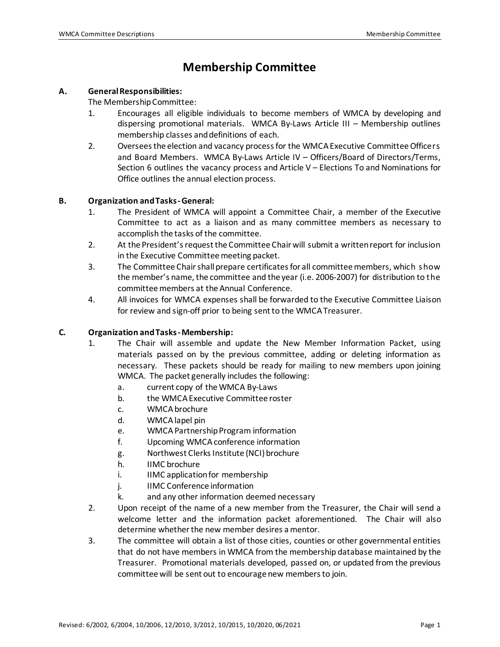## **Membership Committee**

#### **A. General Responsibilities:**

The Membership Committee:

- 1. Encourages all eligible individuals to become members of WMCA by developing and dispersing promotional materials. WMCA By-Laws Article III – Membership outlines membership classes and definitions of each.
- 2. Oversees the election and vacancy process for the WMCA Executive Committee Officers and Board Members. WMCA By-Laws Article IV – Officers/Board of Directors/Terms, Section 6 outlines the vacancy process and Article V – Elections To and Nominations for Office outlines the annual election process.

#### **B. Organization and Tasks-General:**

- 1. The President of WMCA will appoint a Committee Chair, a member of the Executive Committee to act as a liaison and as many committee members as necessary to accomplish the tasks of the committee.
- 2. At the President's request the Committee Chair will submit a written report for inclusion in the Executive Committee meeting packet.
- 3. The Committee Chair shall prepare certificates for all committee members, which show the member's name, the committee and the year (i.e. 2006-2007) for distribution to the committee members at the Annual Conference.
- 4. All invoices for WMCA expenses shall be forwarded to the Executive Committee Liaison for review and sign-off prior to being sent to the WMCA Treasurer.

#### **C. Organization and Tasks-Membership:**

- 1. The Chair will assemble and update the New Member Information Packet, using materials passed on by the previous committee, adding or deleting information as necessary. These packets should be ready for mailing to new members upon joining WMCA. The packet generally includes the following:
	- a. current copy of the WMCA By-Laws
	- b. the WMCA Executive Committee roster
	- c. WMCA brochure
	- d. WMCA lapel pin
	- e. WMCA Partnership Program information
	- f. Upcoming WMCA conference information
	- g. Northwest Clerks Institute (NCI) brochure
	- h. IIMC brochure
	- i. IIMC application for membership
	- j. IIMC Conference information
	- k. and any other information deemed necessary
- 2. Upon receipt of the name of a new member from the Treasurer, the Chair will send a welcome letter and the information packet aforementioned. The Chair will also determine whether the new member desires a mentor.
- 3. The committee will obtain a list of those cities, counties or other governmental entities that do not have members in WMCA from the membership database maintained by the Treasurer. Promotional materials developed, passed on, or updated from the previous committee will be sent out to encourage new members to join.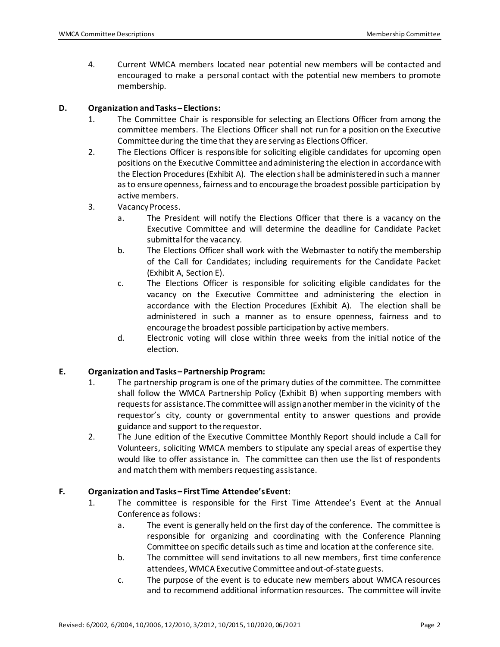4. Current WMCA members located near potential new members will be contacted and encouraged to make a personal contact with the potential new members to promote membership.

#### **D. Organization and Tasks– Elections:**

- 1. The Committee Chair is responsible for selecting an Elections Officer from among the committee members. The Elections Officer shall not run for a position on the Executive Committee during the time that they are serving as Elections Officer.
- 2. The Elections Officer is responsible for soliciting eligible candidates for upcoming open positions on the Executive Committee andadministering the election in accordance with the Election Procedures (Exhibit A). The election shall be administered in such a manner as to ensure openness, fairness and to encourage the broadest possible participation by active members.
- 3. Vacancy Process.
	- a. The President will notify the Elections Officer that there is a vacancy on the Executive Committee and will determine the deadline for Candidate Packet submittal for the vacancy.
	- b. The Elections Officer shall work with the Webmaster to notify the membership of the Call for Candidates; including requirements for the Candidate Packet (Exhibit A, Section E).
	- c. The Elections Officer is responsible for soliciting eligible candidates for the vacancy on the Executive Committee and administering the election in accordance with the Election Procedures (Exhibit A). The election shall be administered in such a manner as to ensure openness, fairness and to encourage the broadest possible participation by active members.
	- d. Electronic voting will close within three weeks from the initial notice of the election.

#### **E. Organization and Tasks– Partnership Program:**

- 1. The partnership program is one of the primary duties of the committee. The committee shall follow the WMCA Partnership Policy (Exhibit B) when supporting members with requests for assistance. The committee will assign another member in the vicinity of the requestor's city, county or governmental entity to answer questions and provide guidance and support to the requestor.
- 2. The June edition of the Executive Committee Monthly Report should include a Call for Volunteers, soliciting WMCA members to stipulate any special areas of expertise they would like to offer assistance in. The committee can then use the list of respondents and match them with members requesting assistance.

#### **F. Organization and Tasks– First Time Attendee's Event:**

- 1. The committee is responsible for the First Time Attendee's Event at the Annual Conference as follows:
	- a. The event is generally held on the first day of the conference. The committee is responsible for organizing and coordinating with the Conference Planning Committee on specific details such as time and location at the conference site.
	- b. The committee will send invitations to all new members, first time conference attendees, WMCAExecutive Committee and out-of-state guests.
	- c. The purpose of the event is to educate new members about WMCA resources and to recommend additional information resources. The committee will invite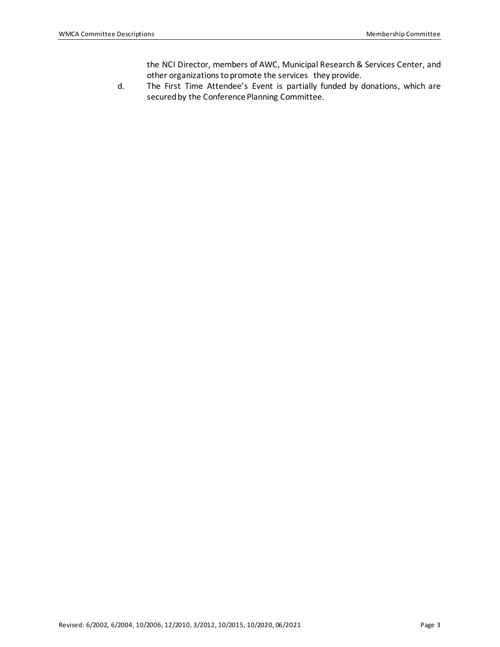the NCI Director, members of AWC, Municipal Research & Services Center, and other organizations to promote the services they provide.

d. The First Time Attendee's Event is partially funded by donations, which are secured by the Conference Planning Committee.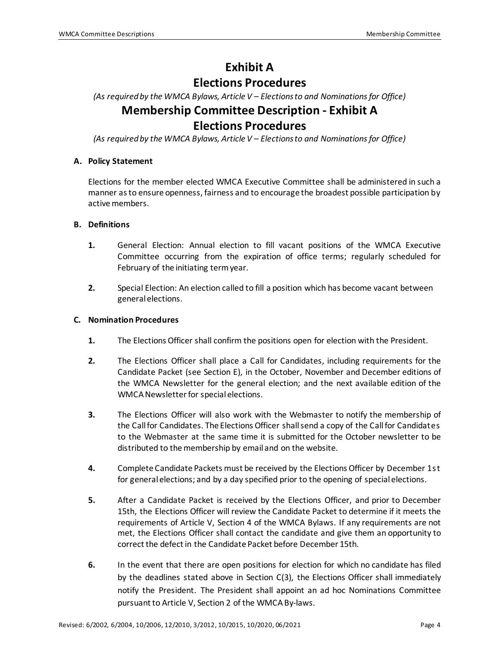# **Exhibit A**

### **Elections Procedures**

*(As required by the WMCA Bylaws, Article V – Elections to and Nominations for Office)*

## **Membership Committee Description - Exhibit A Elections Procedures**

*(As required by the WMCA Bylaws, Article V – Elections to and Nominations for Office)*

#### **A. Policy Statement**

Elections for the member elected WMCA Executive Committee shall be administered in such a manner as to ensure openness, fairness and to encourage the broadest possible participation by active members.

#### **B. Definitions**

- **1.** General Election: Annual election to fill vacant positions of the WMCA Executive Committee occurring from the expiration of office terms; regularly scheduled for February of the initiating term year.
- **2.** Special Election: An election called to fill a position which has become vacant between general elections.

#### **C. Nomination Procedures**

- **1.** The Elections Officer shall confirm the positions open for election with the President.
- **2.** The Elections Officer shall place a Call for Candidates, including requirements for the Candidate Packet (see Section E), in the October, November and December editions of the WMCA Newsletter for the general election; and the next available edition of the WMCA Newsletter for special elections.
- **3.** The Elections Officer will also work with the Webmaster to notify the membership of the Call for Candidates. The Elections Officer shall send a copy of the Call for Candidates to the Webmaster at the same time it is submitted for the October newsletter to be distributed to the membership by email and on the website.
- **4.** Complete Candidate Packets must be received by the Elections Officer by December 1st for general elections; and by a day specified prior to the opening of special elections.
- **5.** After a Candidate Packet is received by the Elections Officer, and prior to December 15th, the Elections Officer will review the Candidate Packet to determine if it meets the requirements of Article V, Section 4 of the WMCA Bylaws. If any requirements are not met, the Elections Officer shall contact the candidate and give them an opportunity to correct the defect in the Candidate Packet before December 15th.
- **6.** In the event that there are open positions for election for which no candidate has filed by the deadlines stated above in Section C(3), the Elections Officer shall immediately notify the President. The President shall appoint an ad hoc Nominations Committee pursuant to Article V, Section 2 of the WMCA By-laws.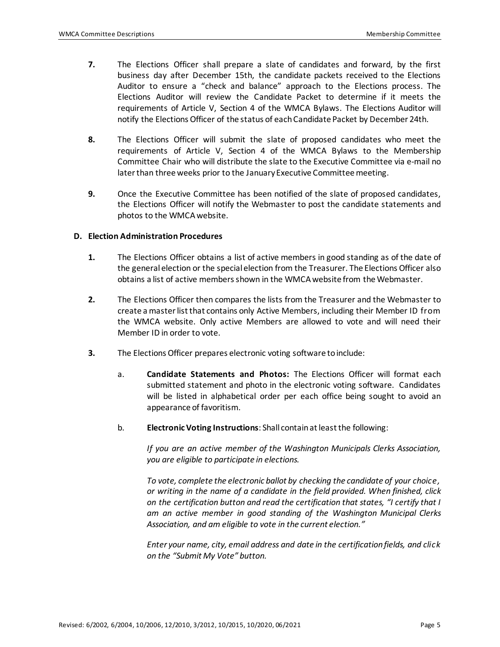- **7.** The Elections Officer shall prepare a slate of candidates and forward, by the first business day after December 15th, the candidate packets received to the Elections Auditor to ensure a "check and balance" approach to the Elections process. The Elections Auditor will review the Candidate Packet to determine if it meets the requirements of Article V, Section 4 of the WMCA Bylaws. The Elections Auditor will notify the Elections Officer of the status of each Candidate Packet by December 24th.
- **8.** The Elections Officer will submit the slate of proposed candidates who meet the requirements of Article V, Section 4 of the WMCA Bylaws to the Membership Committee Chair who will distribute the slate to the Executive Committee via e-mail no later than three weeks prior to the January Executive Committee meeting.
- **9.** Once the Executive Committee has been notified of the slate of proposed candidates, the Elections Officer will notify the Webmaster to post the candidate statements and photos to the WMCA website.

#### **D. Election Administration Procedures**

- **1.** The Elections Officer obtains a list of active members in good standing as of the date of the general election or the special election from the Treasurer. The Elections Officer also obtains a list of active members shown in the WMCA website from the Webmaster.
- **2.** The Elections Officer then compares the lists from the Treasurer and the Webmaster to create a master list that contains only Active Members, including their Member ID from the WMCA website. Only active Members are allowed to vote and will need their Member ID in order to vote.
- **3.** The Elections Officer prepares electronic voting software to include:
	- a. **Candidate Statements and Photos:** The Elections Officer will format each submitted statement and photo in the electronic voting software. Candidates will be listed in alphabetical order per each office being sought to avoid an appearance of favoritism.
	- b. **Electronic Voting Instructions**: Shall contain at least the following:

*If you are an active member of the Washington Municipals Clerks Association, you are eligible to participate in elections.*

*To vote, complete the electronic ballot by checking the candidate of your choice, or writing in the name of a candidate in the field provided. When finished, click on the certification button and read the certification that states, "I certify that I am an active member in good standing of the Washington Municipal Clerks Association, and am eligible to vote in the current election."*

*Enter your name, city, email address and date in the certification fields, and click on the "Submit My Vote" button.*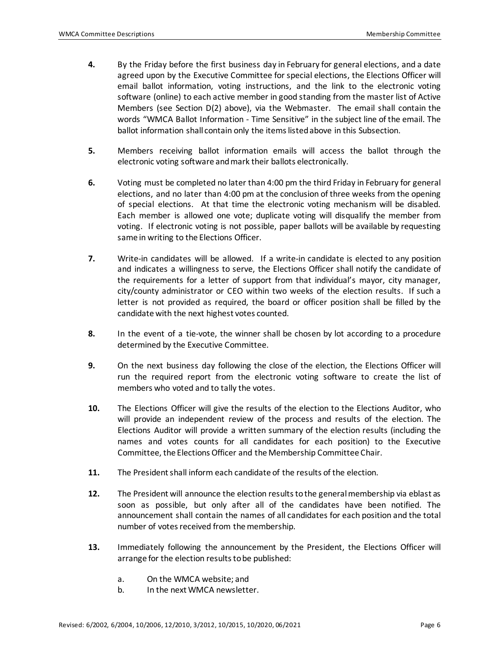- **4.** By the Friday before the first business day in February for general elections, and a date agreed upon by the Executive Committee for special elections, the Elections Officer will email ballot information, voting instructions, and the link to the electronic voting software (online) to each active member in good standing from the master list of Active Members (see Section D(2) above), via the Webmaster. The email shall contain the words "WMCA Ballot Information - Time Sensitive" in the subject line of the email. The ballot information shall contain only the items listed above in this Subsection.
- **5.** Members receiving ballot information emails will access the ballot through the electronic voting software and mark their ballots electronically.
- **6.** Voting must be completed no later than 4:00 pm the third Friday in February for general elections, and no later than 4:00 pm at the conclusion of three weeks from the opening of special elections. At that time the electronic voting mechanism will be disabled. Each member is allowed one vote; duplicate voting will disqualify the member from voting. If electronic voting is not possible, paper ballots will be available by requesting same in writing to the Elections Officer.
- **7.** Write-in candidates will be allowed. If a write-in candidate is elected to any position and indicates a willingness to serve, the Elections Officer shall notify the candidate of the requirements for a letter of support from that individual's mayor, city manager, city/county administrator or CEO within two weeks of the election results. If such a letter is not provided as required, the board or officer position shall be filled by the candidate with the next highest votes counted.
- **8.** In the event of a tie-vote, the winner shall be chosen by lot according to a procedure determined by the Executive Committee.
- **9.** On the next business day following the close of the election, the Elections Officer will run the required report from the electronic voting software to create the list of members who voted and to tally the votes.
- **10.** The Elections Officer will give the results of the election to the Elections Auditor, who will provide an independent review of the process and results of the election. The Elections Auditor will provide a written summary of the election results (including the names and votes counts for all candidates for each position) to the Executive Committee, the Elections Officer and the Membership Committee Chair.
- **11.** The President shall inform each candidate of the results of the election.
- **12.** The President will announce the election results to the general membership via eblast as soon as possible, but only after all of the candidates have been notified. The announcement shall contain the names of all candidates for each position and the total number of votes received from the membership.
- **13.** Immediately following the announcement by the President, the Elections Officer will arrange for the election results to be published:
	- a. On the WMCA website; and
	- b. In the next WMCA newsletter.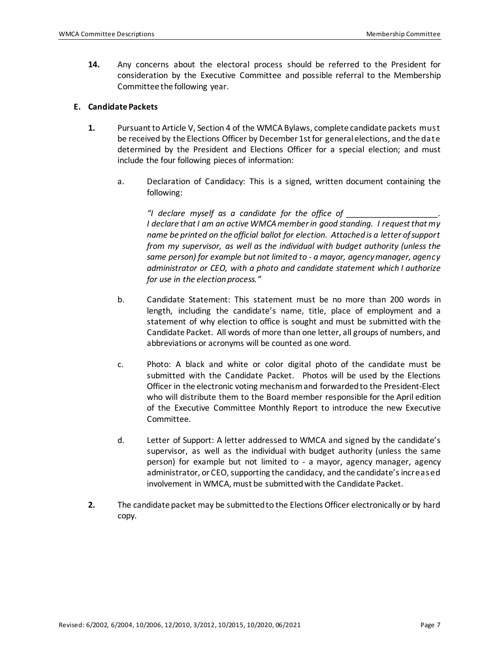**14.** Any concerns about the electoral process should be referred to the President for consideration by the Executive Committee and possible referral to the Membership Committee the following year.

#### **E. Candidate Packets**

- **1.** Pursuant to Article V, Section 4 of the WMCA Bylaws, complete candidate packets must be received by the Elections Officer by December 1st for general elections, and the date determined by the President and Elections Officer for a special election; and must include the four following pieces of information:
	- a. Declaration of Candidacy: This is a signed, written document containing the following:

*"I declare myself as a candidate for the office of \_\_\_\_\_\_\_\_\_\_\_\_\_\_\_\_\_\_\_\_. I declare that I am an active WMCA member in good standing. I request that my name be printed on the official ballot for election. Attached is a letter of support from my supervisor, as well as the individual with budget authority (unless the same person) for example but not limited to - a mayor, agency manager, agency administrator or CEO, with a photo and candidate statement which I authorize for use in the election process."*

- b. Candidate Statement: This statement must be no more than 200 words in length, including the candidate's name, title, place of employment and a statement of why election to office is sought and must be submitted with the Candidate Packet. All words of more than one letter, all groups of numbers, and abbreviations or acronyms will be counted as one word.
- c. Photo: A black and white or color digital photo of the candidate must be submitted with the Candidate Packet. Photos will be used by the Elections Officer in the electronic voting mechanism and forwardedto the President-Elect who will distribute them to the Board member responsible for the April edition of the Executive Committee Monthly Report to introduce the new Executive Committee.
- d. Letter of Support: A letter addressed to WMCA and signed by the candidate's supervisor, as well as the individual with budget authority (unless the same person) for example but not limited to - a mayor, agency manager, agency administrator, or CEO, supporting the candidacy, and the candidate's increased involvement in WMCA, must be submitted with the Candidate Packet.
- **2.** The candidate packet may be submitted to the Elections Officer electronically or by hard copy.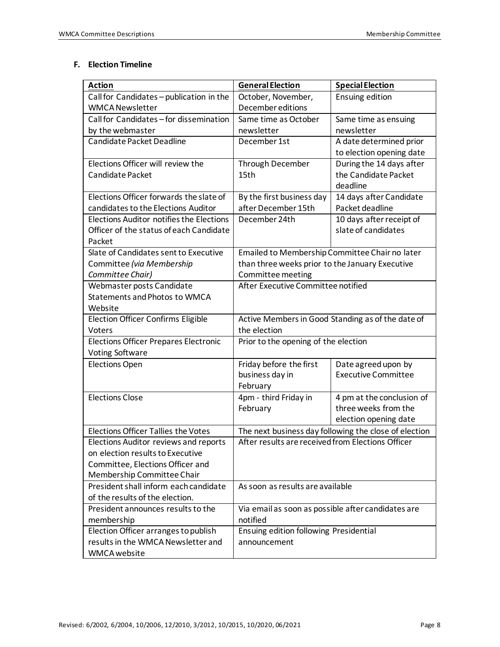### **F. Election Timeline**

| <b>Action</b>                                   | <b>General Election</b>                               | <b>Special Election</b>    |
|-------------------------------------------------|-------------------------------------------------------|----------------------------|
| Call for Candidates - publication in the        | October, November,                                    | <b>Ensuing edition</b>     |
| <b>WMCA Newsletter</b>                          | December editions                                     |                            |
| Call for Candidates - for dissemination         | Same time as October                                  | Same time as ensuing       |
| by the webmaster                                | newsletter                                            | newsletter                 |
| Candidate Packet Deadline                       | December 1st                                          | A date determined prior    |
|                                                 |                                                       | to election opening date   |
| Elections Officer will review the               | Through December                                      | During the 14 days after   |
| Candidate Packet                                | 15th                                                  | the Candidate Packet       |
|                                                 |                                                       | deadline                   |
| Elections Officer forwards the slate of         | By the first business day                             | 14 days after Candidate    |
| candidates to the Elections Auditor             | after December 15th                                   | Packet deadline            |
| <b>Elections Auditor notifies the Elections</b> | December 24th                                         | 10 days after receipt of   |
| Officer of the status of each Candidate         |                                                       | slate of candidates        |
| Packet                                          |                                                       |                            |
| Slate of Candidates sent to Executive           | Emailed to Membership Committee Chair no later        |                            |
| Committee (via Membership                       | than three weeks prior to the January Executive       |                            |
| Committee Chair)                                | Committee meeting                                     |                            |
| Webmaster posts Candidate                       | After Executive Committee notified                    |                            |
| Statements and Photos to WMCA                   |                                                       |                            |
| Website                                         |                                                       |                            |
| <b>Election Officer Confirms Eligible</b>       | Active Members in Good Standing as of the date of     |                            |
| Voters                                          | the election                                          |                            |
| <b>Elections Officer Prepares Electronic</b>    | Prior to the opening of the election                  |                            |
| <b>Voting Software</b>                          |                                                       |                            |
| <b>Elections Open</b>                           | Friday before the first                               | Date agreed upon by        |
|                                                 | business day in                                       | <b>Executive Committee</b> |
|                                                 | February                                              |                            |
| <b>Elections Close</b>                          | 4pm - third Friday in                                 | 4 pm at the conclusion of  |
|                                                 | February                                              | three weeks from the       |
|                                                 |                                                       | election opening date      |
| <b>Elections Officer Tallies the Votes</b>      | The next business day following the close of election |                            |
| Elections Auditor reviews and reports           | After results are received from Elections Officer     |                            |
| on election results to Executive                |                                                       |                            |
| Committee, Elections Officer and                |                                                       |                            |
| Membership Committee Chair                      |                                                       |                            |
| President shall inform each candidate           | As soon as results are available                      |                            |
| of the results of the election.                 |                                                       |                            |
| President announces results to the              | Via email as soon as possible after candidates are    |                            |
| membership                                      | notified                                              |                            |
| Election Officer arranges to publish            | Ensuing edition following Presidential                |                            |
| results in the WMCA Newsletter and              | announcement                                          |                            |
| <b>WMCA</b> website                             |                                                       |                            |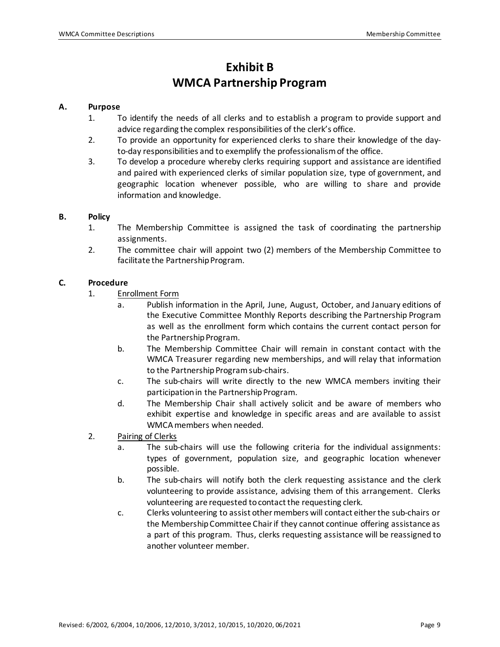# **Exhibit B WMCA Partnership Program**

#### **A. Purpose**

- 1. To identify the needs of all clerks and to establish a program to provide support and advice regarding the complex responsibilities of the clerk's office.
- 2. To provide an opportunity for experienced clerks to share their knowledge of the dayto-day responsibilities and to exemplify the professionalism of the office.
- 3. To develop a procedure whereby clerks requiring support and assistance are identified and paired with experienced clerks of similar population size, type of government, and geographic location whenever possible, who are willing to share and provide information and knowledge.

#### **B. Policy**

- 1. The Membership Committee is assigned the task of coordinating the partnership assignments.
- 2. The committee chair will appoint two (2) members of the Membership Committee to facilitate the Partnership Program.

#### **C. Procedure**

- 1. Enrollment Form
	- a. Publish information in the April, June, August, October, and January editions of the Executive Committee Monthly Reports describing the Partnership Program as well as the enrollment form which contains the current contact person for the Partnership Program.
	- b. The Membership Committee Chair will remain in constant contact with the WMCA Treasurer regarding new memberships, and will relay that information to the Partnership Program sub-chairs.
	- c. The sub-chairs will write directly to the new WMCA members inviting their participation in the Partnership Program.
	- d. The Membership Chair shall actively solicit and be aware of members who exhibit expertise and knowledge in specific areas and are available to assist WMCA members when needed.
- 2. Pairing of Clerks
	- a. The sub-chairs will use the following criteria for the individual assignments: types of government, population size, and geographic location whenever possible.
	- b. The sub-chairs will notify both the clerk requesting assistance and the clerk volunteering to provide assistance, advising them of this arrangement. Clerks volunteering are requested to contact the requesting clerk.
	- c. Clerks volunteering to assist other members will contact either the sub-chairs or the Membership Committee Chair if they cannot continue offering assistance as a part of this program. Thus, clerks requesting assistance will be reassigned to another volunteer member.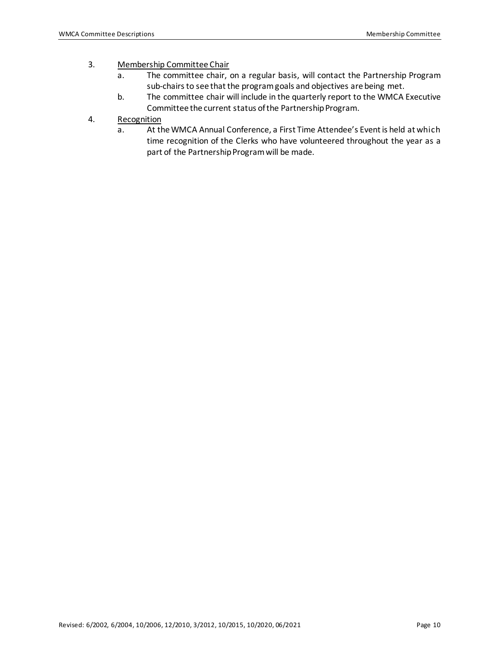### 3. Membership Committee Chair

- a. The committee chair, on a regular basis, will contact the Partnership Program sub-chairs to see that the program goals and objectives are being met.
- b. The committee chair will include in the quarterly report to the WMCA Executive Committee the current status of the Partnership Program.
- 4. Recognition
	- a. At the WMCA Annual Conference, a First Time Attendee's Event is held at which time recognition of the Clerks who have volunteered throughout the year as a part of the Partnership Program will be made.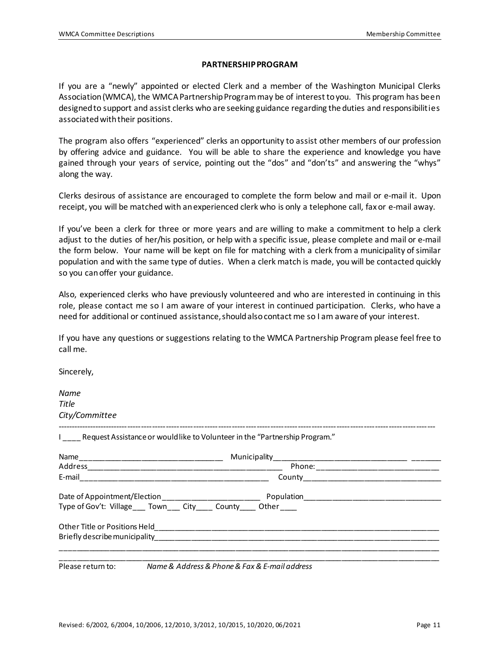#### **PARTNERSHIPPROGRAM**

If you are a "newly" appointed or elected Clerk and a member of the Washington Municipal Clerks Association (WMCA), the WMCA Partnership Program may be of interest to you. This program has been designed to support and assist clerks who are seeking guidance regarding the duties and responsibilities associated with their positions.

The program also offers "experienced" clerks an opportunity to assist other members of our profession by offering advice and guidance. You will be able to share the experience and knowledge you have gained through your years of service, pointing out the "dos" and "don'ts" and answering the "whys" along the way.

Clerks desirous of assistance are encouraged to complete the form below and mail or e-mail it. Upon receipt, you will be matched with an experienced clerk who is only a telephone call, fax or e-mail away.

If you've been a clerk for three or more years and are willing to make a commitment to help a clerk adjust to the duties of her/his position, or help with a specific issue, please complete and mail or e-mail the form below. Your name will be kept on file for matching with a clerk from a municipality of similar population and with the same type of duties. When a clerk match is made, you will be contacted quickly so you can offer your guidance.

Also, experienced clerks who have previously volunteered and who are interested in continuing in this role, please contact me so I am aware of your interest in continued participation. Clerks, who have a need for additional or continued assistance,should also contact me so I am aware of your interest.

If you have any questions or suggestions relating to the WMCA Partnership Program please feel free to call me.

Sincerely,

| Name                                                                          |  |  |
|-------------------------------------------------------------------------------|--|--|
| Title                                                                         |  |  |
| City/Committee                                                                |  |  |
| I Request Assistance or would like to Volunteer in the "Partnership Program." |  |  |
|                                                                               |  |  |
|                                                                               |  |  |
|                                                                               |  |  |
|                                                                               |  |  |
| Type of Gov't: Village___ Town___ City____ County____ Other____               |  |  |
|                                                                               |  |  |
|                                                                               |  |  |
| Please return to: Name & Address & Phone & Fax & E-mail address               |  |  |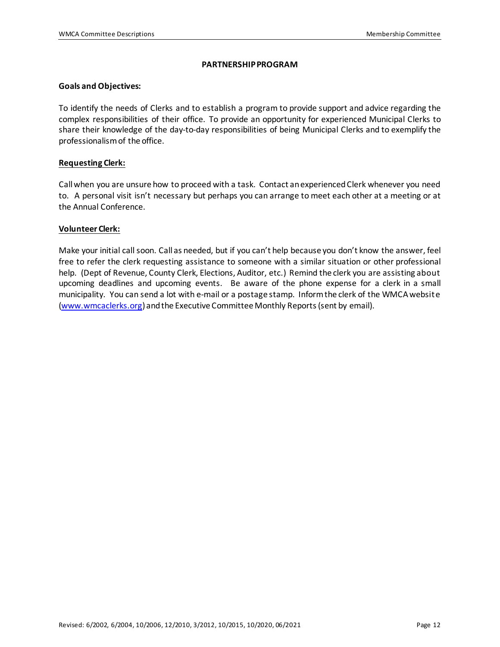#### **PARTNERSHIPPROGRAM**

#### **Goals and Objectives:**

To identify the needs of Clerks and to establish a program to provide support and advice regarding the complex responsibilities of their office. To provide an opportunity for experienced Municipal Clerks to share their knowledge of the day-to-day responsibilities of being Municipal Clerks and to exemplify the professionalism of the office.

#### **Requesting Clerk:**

Call when you are unsure how to proceed with a task. Contact an experienced Clerk whenever you need to. A personal visit isn't necessary but perhaps you can arrange to meet each other at a meeting or at the Annual Conference.

#### **Volunteer Clerk:**

Make your initial call soon. Call as needed, but if you can't help because you don't know the answer, feel free to refer the clerk requesting assistance to someone with a similar situation or other professional help. (Dept of Revenue, County Clerk, Elections, Auditor, etc.) Remind the clerk you are assisting about upcoming deadlines and upcoming events. Be aware of the phone expense for a clerk in a small municipality. You can send a lot with e-mail or a postage stamp. Inform the clerk of the WMCA website [\(www.wmcaclerks.org](http://www.wmcaclerks.org/)) and the Executive Committee Monthly Reports (sent by email).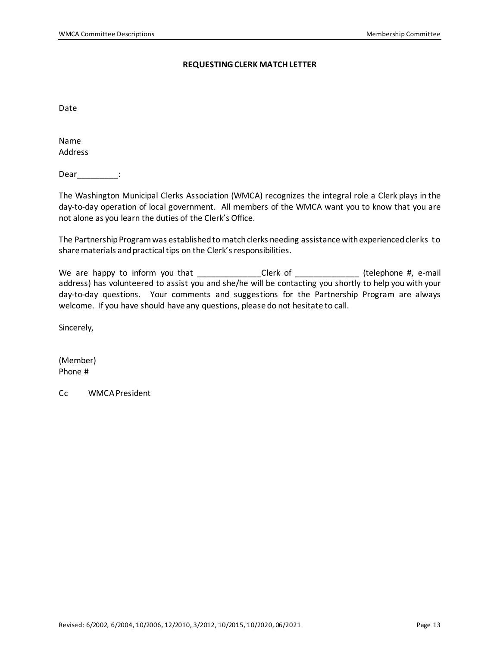#### **REQUESTING CLERK MATCH LETTER**

Date

Name Address

Dear <u>\_\_\_\_\_\_\_\_\_</u>:

The Washington Municipal Clerks Association (WMCA) recognizes the integral role a Clerk plays in the day-to-day operation of local government. All members of the WMCA want you to know that you are not alone as you learn the duties of the Clerk's Office.

The Partnership Program was established to match clerks needing assistance with experienced clerks to share materials and practical tips on the Clerk's responsibilities.

We are happy to inform you that \_\_\_\_\_\_\_\_\_\_\_\_\_\_Clerk of \_\_\_\_\_\_\_\_\_\_\_\_\_\_ (telephone #, e-mail address) has volunteered to assist you and she/he will be contacting you shortly to help you with your day-to-day questions. Your comments and suggestions for the Partnership Program are always welcome. If you have should have any questions, please do not hesitate to call.

Sincerely,

(Member) Phone #

Cc WMCA President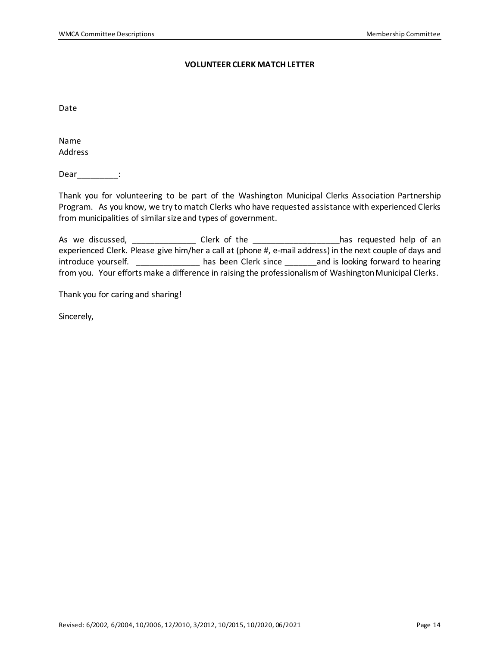#### **VOLUNTEER CLERK MATCH LETTER**

Date

Name Address

Dear\_\_\_\_\_\_\_\_\_\_:

Thank you for volunteering to be part of the Washington Municipal Clerks Association Partnership Program. As you know, we try to match Clerks who have requested assistance with experienced Clerks from municipalities of similar size and types of government.

As we discussed, \_\_\_\_\_\_\_\_\_\_\_\_\_\_\_\_ Clerk of the \_\_\_\_\_\_\_\_\_\_\_\_\_\_\_\_\_\_\_\_has requested help of an experienced Clerk. Please give him/her a call at (phone #, e-mail address) in the next couple of days and introduce yourself. \_\_\_\_\_\_\_\_\_\_\_\_\_\_\_ has been Clerk since \_\_\_\_\_\_\_ and is looking forward to hearing from you. Your efforts make a difference in raising the professionalism of Washington Municipal Clerks.

Thank you for caring and sharing!

Sincerely,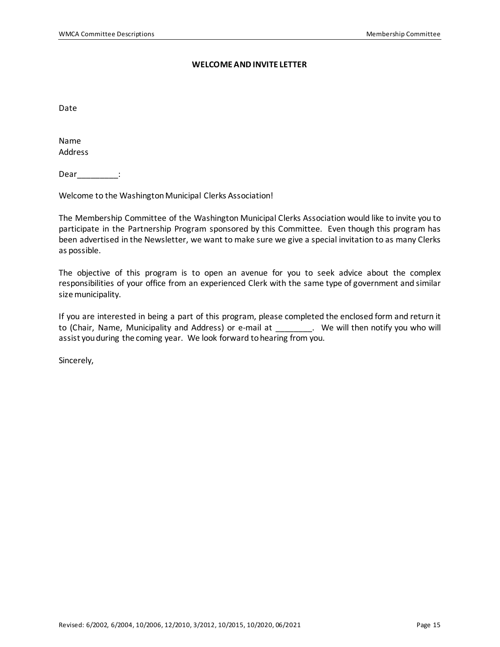#### **WELCOME AND INVITE LETTER**

Date

Name Address

Dear\_\_\_\_\_\_\_\_\_\_:

Welcome to the Washington Municipal Clerks Association!

The Membership Committee of the Washington Municipal Clerks Association would like to invite you to participate in the Partnership Program sponsored by this Committee. Even though this program has been advertised in the Newsletter, we want to make sure we give a special invitation to as many Clerks as possible.

The objective of this program is to open an avenue for you to seek advice about the complex responsibilities of your office from an experienced Clerk with the same type of government and similar size municipality.

If you are interested in being a part of this program, please completed the enclosed form and return it to (Chair, Name, Municipality and Address) or e-mail at \_\_\_\_\_\_\_\_. We will then notify you who will assist you during the coming year. We look forward to hearing from you.

Sincerely,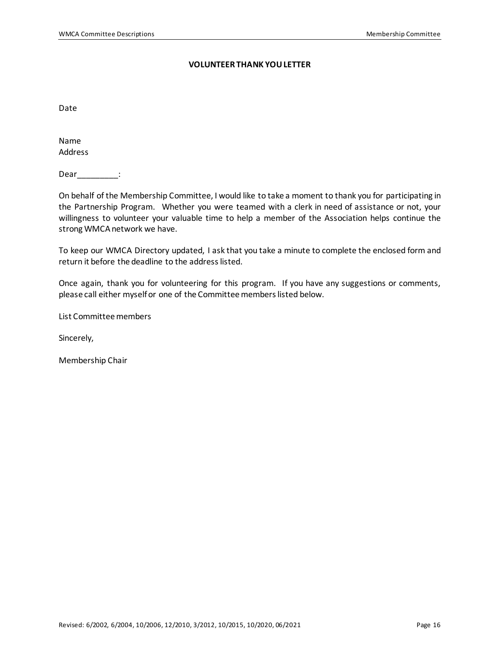#### **VOLUNTEER THANK YOU LETTER**

Date

Name Address

Dear <u>\_\_\_\_\_\_\_\_\_</u>:

On behalf of the Membership Committee, I would like to take a moment to thank you for participating in the Partnership Program. Whether you were teamed with a clerk in need of assistance or not, your willingness to volunteer your valuable time to help a member of the Association helps continue the strong WMCA network we have.

To keep our WMCA Directory updated, I ask that you take a minute to complete the enclosed form and return it before the deadline to the address listed.

Once again, thank you for volunteering for this program. If you have any suggestions or comments, please call either myself or one of the Committee members listed below.

List Committee members

Sincerely,

Membership Chair